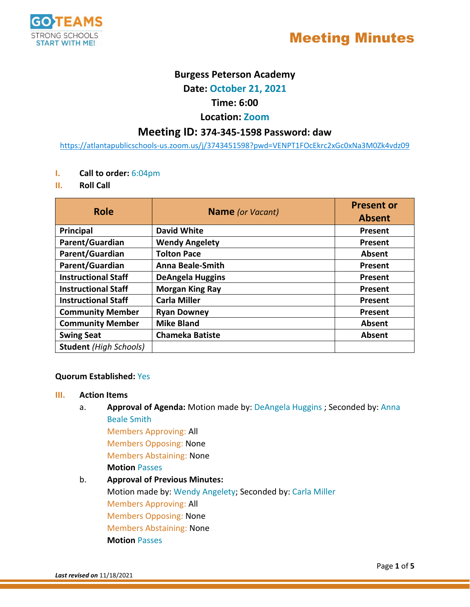

# **Burgess Peterson Academy**

**Date: October 21, 2021**

# **Time: 6:00**

# **Location: Zoom**

# **Meeting ID: 374-345-1598 Password: daw**

[https://atlantapublicschools-us.zoom.us/j/3743451598?pwd=VENPT1FOcEkrc2xGc0xNa3M0Zk4vdz09](https://nam11.safelinks.protection.outlook.com/?url=https%3A%2F%2Fatlantapublicschools-us.zoom.us%2Fj%2F3743451598%3Fpwd%3DVENPT1FOcEkrc2xGc0xNa3M0Zk4vdz09&data=04%7C01%7Cdhuggins%40atlanta.k12.ga.us%7C58404a6f06714ced28bb08d92c3b2d89%7C0d95ef40a0dd431890985e10f876f635%7C0%7C0%7C637589454939225858%7CUnknown%7CTWFpbGZsb3d8eyJWIjoiMC4wLjAwMDAiLCJQIjoiV2luMzIiLCJBTiI6Ik1haWwiLCJXVCI6Mn0%3D%7C1000&sdata=N8aqF3fZOE2gX3TnY3MQdyHLDxEhEryEl%2BMvohFYdmA%3D&reserved=0)

- **I. Call to order:** 6:04pm
- **II. Roll Call**

| <b>Role</b>                   | <b>Name</b> (or Vacant) | <b>Present or</b> |
|-------------------------------|-------------------------|-------------------|
|                               |                         | <b>Absent</b>     |
| Principal                     | <b>David White</b>      | <b>Present</b>    |
| Parent/Guardian               | <b>Wendy Angelety</b>   | Present           |
| Parent/Guardian               | <b>Tolton Pace</b>      | Absent            |
| Parent/Guardian               | <b>Anna Beale-Smith</b> | Present           |
| <b>Instructional Staff</b>    | <b>DeAngela Huggins</b> | Present           |
| <b>Instructional Staff</b>    | <b>Morgan King Ray</b>  | Present           |
| <b>Instructional Staff</b>    | <b>Carla Miller</b>     | Present           |
| <b>Community Member</b>       | <b>Ryan Downey</b>      | Present           |
| <b>Community Member</b>       | <b>Mike Bland</b>       | Absent            |
| <b>Swing Seat</b>             | <b>Chameka Batiste</b>  | Absent            |
| <b>Student</b> (High Schools) |                         |                   |

#### **Quorum Established:** Yes

#### **III. Action Items**

a. **Approval of Agenda:** Motion made by: DeAngela Huggins ; Seconded by: Anna Beale Smith

Members Approving: All

Members Opposing: None

Members Abstaining: None

**Motion** Passes

## b. **Approval of Previous Minutes:**

Motion made by: Wendy Angelety; Seconded by: Carla Miller Members Approving: All Members Opposing: None Members Abstaining: None **Motion** Passes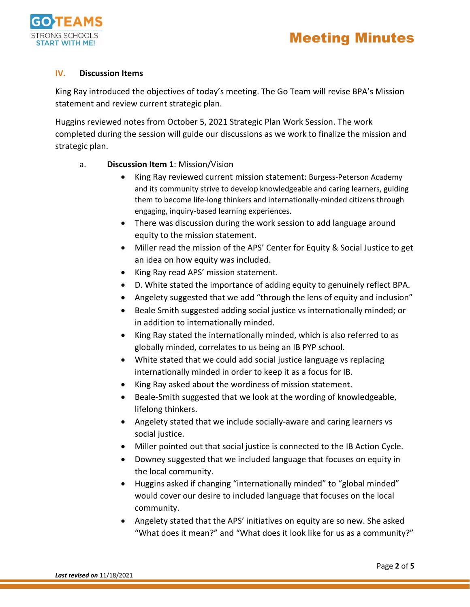

# Meeting Minutes

#### **IV. Discussion Items**

King Ray introduced the objectives of today's meeting. The Go Team will revise BPA's Mission statement and review current strategic plan.

Huggins reviewed notes from October 5, 2021 Strategic Plan Work Session. The work completed during the session will guide our discussions as we work to finalize the mission and strategic plan.

- a. **Discussion Item 1**: Mission/Vision
	- King Ray reviewed current mission statement: Burgess-Peterson Academy and its community strive to develop knowledgeable and caring learners, guiding them to become life-long thinkers and internationally-minded citizens through engaging, inquiry-based learning experiences.
	- There was discussion during the work session to add language around equity to the mission statement.
	- Miller read the mission of the APS' Center for Equity & Social Justice to get an idea on how equity was included.
	- King Ray read APS' mission statement.
	- D. White stated the importance of adding equity to genuinely reflect BPA.
	- Angelety suggested that we add "through the lens of equity and inclusion"
	- Beale Smith suggested adding social justice vs internationally minded; or in addition to internationally minded.
	- King Ray stated the internationally minded, which is also referred to as globally minded, correlates to us being an IB PYP school.
	- White stated that we could add social justice language vs replacing internationally minded in order to keep it as a focus for IB.
	- King Ray asked about the wordiness of mission statement.
	- Beale-Smith suggested that we look at the wording of knowledgeable, lifelong thinkers.
	- Angelety stated that we include socially-aware and caring learners vs social justice.
	- Miller pointed out that social justice is connected to the IB Action Cycle.
	- Downey suggested that we included language that focuses on equity in the local community.
	- Huggins asked if changing "internationally minded" to "global minded" would cover our desire to included language that focuses on the local community.
	- Angelety stated that the APS' initiatives on equity are so new. She asked "What does it mean?" and "What does it look like for us as a community?"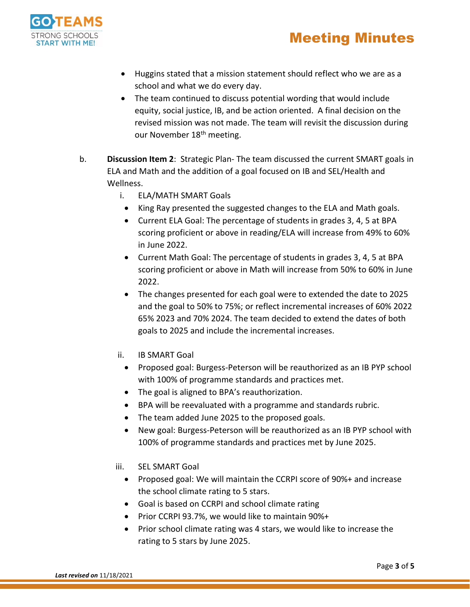

- Huggins stated that a mission statement should reflect who we are as a school and what we do every day.
- The team continued to discuss potential wording that would include equity, social justice, IB, and be action oriented. A final decision on the revised mission was not made. The team will revisit the discussion during our November 18<sup>th</sup> meeting.
- b. **Discussion Item 2**: Strategic Plan- The team discussed the current SMART goals in ELA and Math and the addition of a goal focused on IB and SEL/Health and Wellness.
	- i. ELA/MATH SMART Goals
		- King Ray presented the suggested changes to the ELA and Math goals.
		- Current ELA Goal: The percentage of students in grades 3, 4, 5 at BPA scoring proficient or above in reading/ELA will increase from 49% to 60% in June 2022.
		- Current Math Goal: The percentage of students in grades 3, 4, 5 at BPA scoring proficient or above in Math will increase from 50% to 60% in June 2022.
		- The changes presented for each goal were to extended the date to 2025 and the goal to 50% to 75%; or reflect incremental increases of 60% 2022 65% 2023 and 70% 2024. The team decided to extend the dates of both goals to 2025 and include the incremental increases.
	- ii. IB SMART Goal
		- Proposed goal: Burgess-Peterson will be reauthorized as an IB PYP school with 100% of programme standards and practices met.
		- The goal is aligned to BPA's reauthorization.
		- BPA will be reevaluated with a programme and standards rubric.
		- The team added June 2025 to the proposed goals.
		- New goal: Burgess-Peterson will be reauthorized as an IB PYP school with 100% of programme standards and practices met by June 2025.
	- iii. SEL SMART Goal
		- Proposed goal: We will maintain the CCRPI score of 90%+ and increase the school climate rating to 5 stars.
		- Goal is based on CCRPI and school climate rating
		- Prior CCRPI 93.7%, we would like to maintain 90%+
		- Prior school climate rating was 4 stars, we would like to increase the rating to 5 stars by June 2025.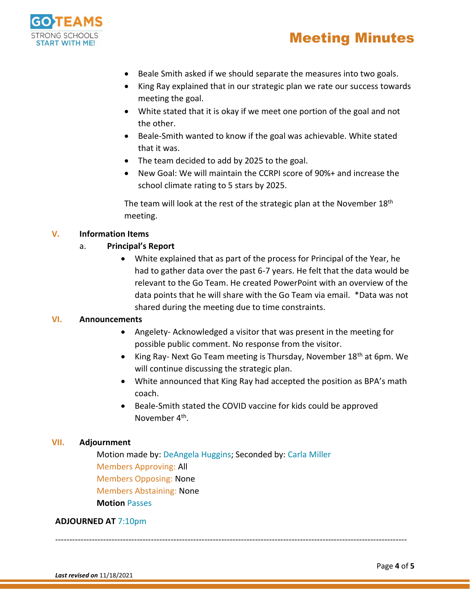

- Beale Smith asked if we should separate the measures into two goals.
- King Ray explained that in our strategic plan we rate our success towards meeting the goal.
- White stated that it is okay if we meet one portion of the goal and not the other.
- Beale-Smith wanted to know if the goal was achievable. White stated that it was.
- The team decided to add by 2025 to the goal.
- New Goal: We will maintain the CCRPI score of 90%+ and increase the school climate rating to 5 stars by 2025.

The team will look at the rest of the strategic plan at the November 18<sup>th</sup> meeting.

## **V. Information Items**

## a. **Principal's Report**

 White explained that as part of the process for Principal of the Year, he had to gather data over the past 6-7 years. He felt that the data would be relevant to the Go Team. He created PowerPoint with an overview of the data points that he will share with the Go Team via email. \*Data was not shared during the meeting due to time constraints.

#### **VI. Announcements**

- Angelety- Acknowledged a visitor that was present in the meeting for possible public comment. No response from the visitor.
- King Ray- Next Go Team meeting is Thursday, November  $18<sup>th</sup>$  at 6pm. We will continue discussing the strategic plan.
- White announced that King Ray had accepted the position as BPA's math coach.
- Beale-Smith stated the COVID vaccine for kids could be approved November 4<sup>th</sup>.

## **VII. Adjournment**

Motion made by: DeAngela Huggins; Seconded by: Carla Miller Members Approving: All Members Opposing: None Members Abstaining: None **Motion** Passes

#### **ADJOURNED AT** 7:10pm

-----------------------------------------------------------------------------------------------------------------------------